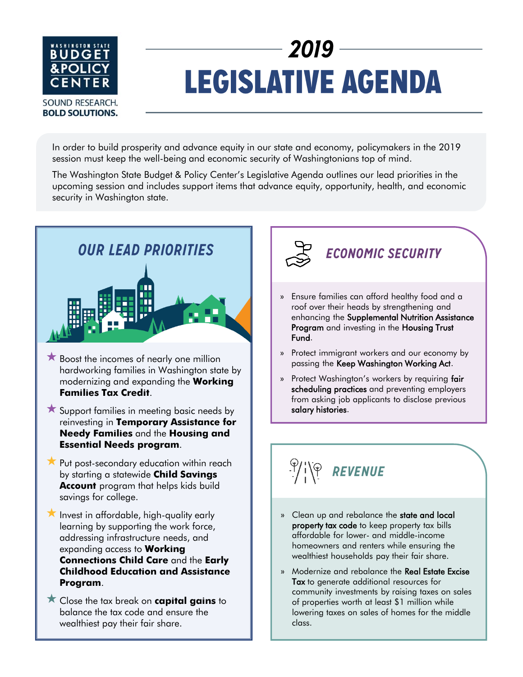

# 2019 **LEGISLATIVE AGENDA**

In order to build prosperity and advance equity in our state and economy, policymakers in the 2019 session must keep the well-being and economic security of Washingtonians top of mind.

The Washington State Budget & Policy Center's Legislative Agenda outlines our lead priorities in the upcoming session and includes support items that advance equity, opportunity, health, and economic security in Washington state.



- $\star$  Boost the incomes of nearly one million hardworking families in Washington state by modernizing and expanding the **Working** Families Tax Credit.
- $\star$  Support families in meeting basic needs by reinvesting in Temporary Assistance for Needy Families and the Housing and Essential Needs program.
- $\star$  Put post-secondary education within reach by starting a statewide **Child Savings Account** program that helps kids build savings for college.
- Invest in affordable, high-quality early learning by supporting the work force, addressing infrastructure needs, and expanding access to Working Connections Child Care and the Early Childhood Education and Assistance Program.
- $\star$  Close the tax break on **capital gains** to balance the tax code and ensure the wealthiest pay their fair share.



### **ECONOMIC SECURITY**

- » Ensure families can afford healthy food and a roof over their heads by strengthening and enhancing the Supplemental Nutrition Assistance Program and investing in the Housing Trust Fund.
- » Protect immigrant workers and our economy by passing the Keep Washington Working Act.
- » Protect Washington's workers by requiring fair scheduling practices and preventing employers from asking job applicants to disclose previous salary histories.



- » Clean up and rebalance the state and local property tax code to keep property tax bills affordable for lower- and middle-income homeowners and renters while ensuring the wealthiest households pay their fair share.
- » Modernize and rebalance the Real Estate Excise Tax to generate additional resources for community investments by raising taxes on sales of properties worth at least \$1 million while lowering taxes on sales of homes for the middle class.